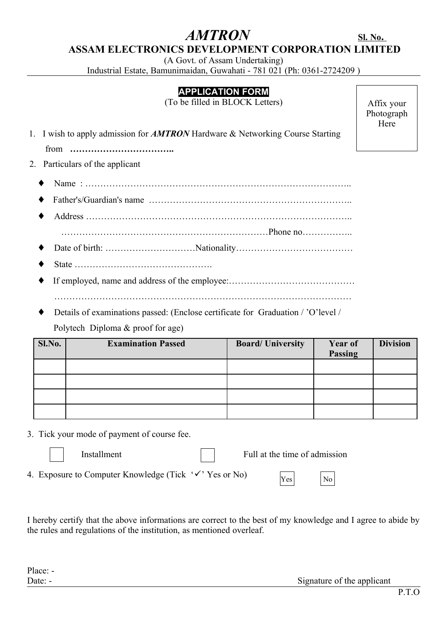# $AMTRON$  **SI. No.**

 **ASSAM ELECTRONICS DEVELOPMENT CORPORATION LIMITED**

(A Govt. of Assam Undertaking)

Industrial Estate, Bamunimaidan, Guwahati - 781 021 (Ph: 0361-2724209 )

## **APPLICATION FORM**

(To be filled in BLOCK Letters)

Affix your Photograph Here

1. I wish to apply admission for *AMTRON* Hardware & Networking Course Starting

from **……………………………..**

- 2. Particulars of the applicant
	- ♦ Name : ……………………………………………………………………………..
	- ♦ Father's/Guardian's name …………………………………………………………..
	- ♦ Address …………………………………………………………………………….. ……………………………………………………………Phone no……………..
	- ♦ Date of birth: …………………………Nationality…………………………………
	- ♦ State ……………………………………….
	- ♦ If employed, name and address of the employee:…………………………………… ………………………………………………………………………………………
	- Details of examinations passed: (Enclose certificate for Graduation / 'O'level / Polytech Diploma & proof for age)

| Sl.No. | <b>Examination Passed</b> | <b>Board/University</b> | Year of<br>Passing | <b>Division</b> |
|--------|---------------------------|-------------------------|--------------------|-----------------|
|        |                           |                         |                    |                 |
|        |                           |                         |                    |                 |
|        |                           |                         |                    |                 |
|        |                           |                         |                    |                 |

3. Tick your mode of payment of course fee.

| I |
|---|
|   |

Installment Full at the time of admission

Yes No

4. Exposure to Computer Knowledge (Tick  $\forall$  'Yes or No)

I hereby certify that the above informations are correct to the best of my knowledge and I agree to abide by the rules and regulations of the institution, as mentioned overleaf.

Date: - Signature of the applicant